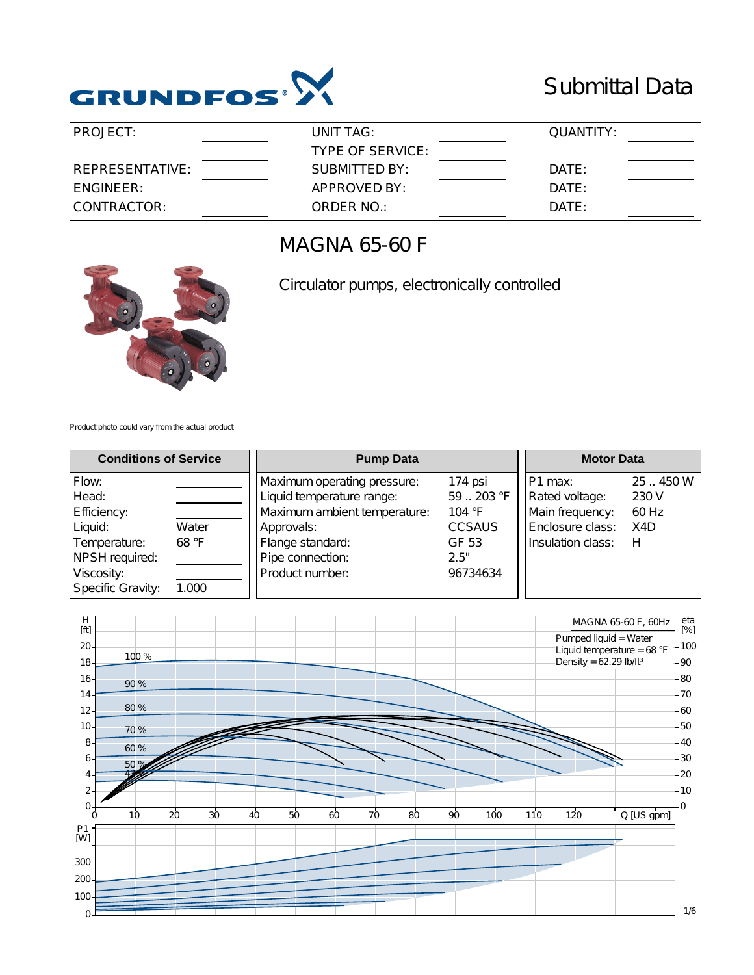

## Submittal Data

| <b>PROJECT:</b>  | UNIT TAG:        | QUANTITY: |  |
|------------------|------------------|-----------|--|
|                  | TYPE OF SERVICE: |           |  |
| IREPRESENTATIVE: | SUBMITTED BY:    | DATE:     |  |
| IENGINEER:       | APPROVED BY:     | DATE:     |  |
| CONTRACTOR:      | ORDER NO.:       | DATE:     |  |

### MAGNA 65-60 F



Circulator pumps, electronically controlled

Product photo could vary from the actual product

| <b>Conditions of Service</b>                                                                                  |                         | <b>Pump Data</b>                                                                                                                                                  | <b>Motor Data</b>                                                           |                                                                                        |                                       |
|---------------------------------------------------------------------------------------------------------------|-------------------------|-------------------------------------------------------------------------------------------------------------------------------------------------------------------|-----------------------------------------------------------------------------|----------------------------------------------------------------------------------------|---------------------------------------|
| Flow:<br>Head:<br>Efficiency:<br>Liquid:<br>Temperature:<br>NPSH required:<br>Viscosity:<br>Specific Gravity: | Water<br>68 °F<br>1.000 | Maximum operating pressure:<br>Liquid temperature range:<br>Maximum ambient temperature:<br>Approvals:<br>Flange standard:<br>Pipe connection:<br>Product number: | 174 psi<br>59203 °F<br>104 °F<br><b>CCSAUS</b><br>GF 53<br>2.5"<br>96734634 | ⊦P1 max:<br>Rated voltage:<br>Main frequency:<br>Enclosure class:<br>Insulation class: | 25.450W<br>230 V<br>60 Hz<br>X4D<br>н |

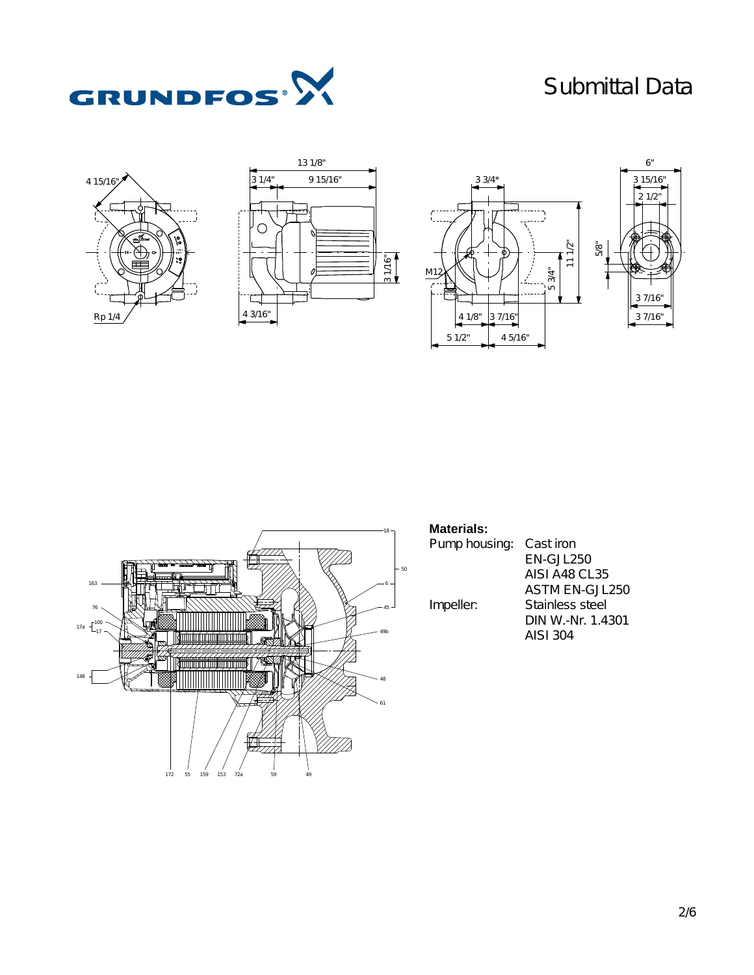# Submittal Data











### **Materials:**

Pump housing: Cast iron EN-GJL250 AISI A48 CL35 ASTM EN-GJL250 Impeller: Stainless steel DIN W.-Nr. 1.4301 AISI 304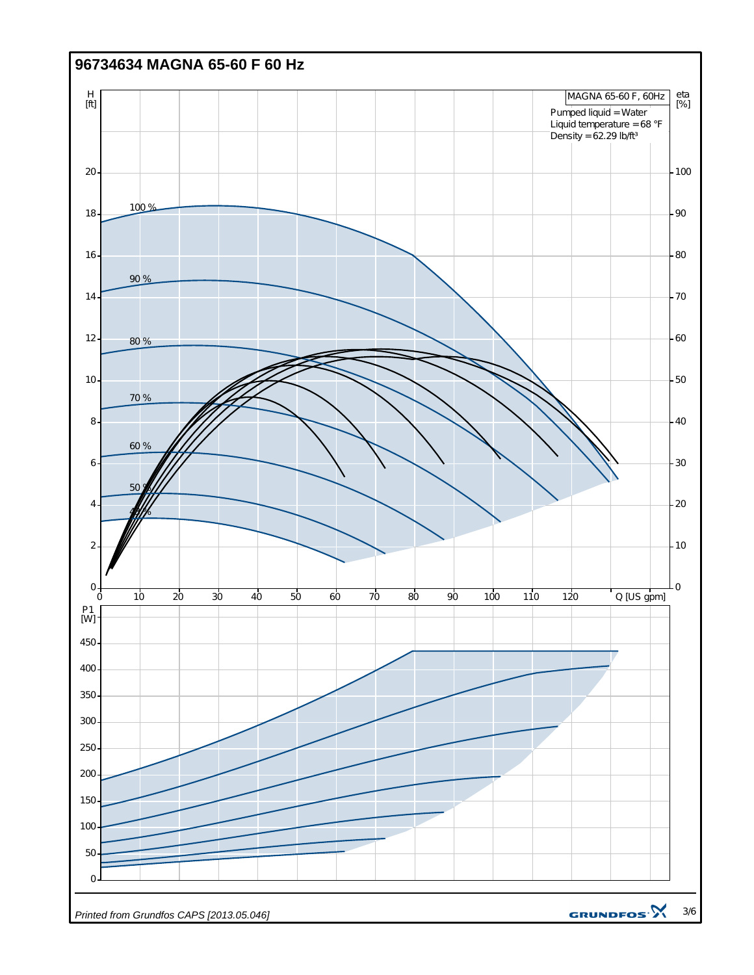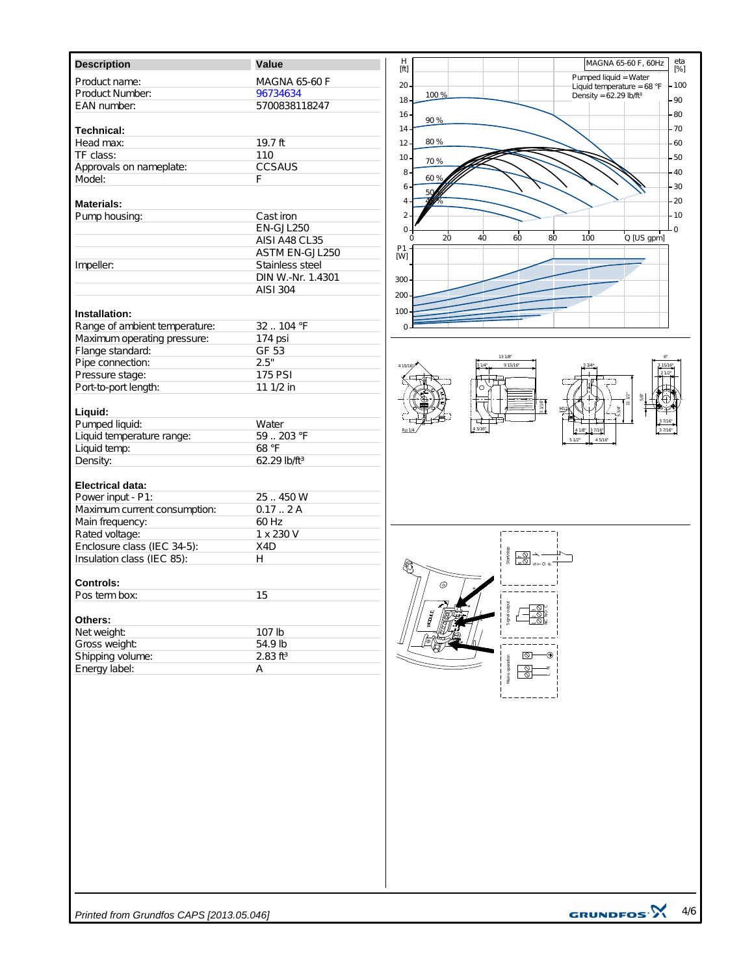| <b>Description</b>            | Value                    | $H_{\rm [ft]}$  |      |                   |       |                                      | MAGNA 65-60 F, 60Hz          |
|-------------------------------|--------------------------|-----------------|------|-------------------|-------|--------------------------------------|------------------------------|
| Product name:                 | <b>MAGNA 65-60 F</b>     |                 |      |                   |       | Pumped liquid = Water                |                              |
| Product Number:               | 96734634                 | $20 -$          | 100% |                   |       |                                      | Liquid temperature = $68 °F$ |
| EAN number:                   | 5700838118247            | 18 <sub>1</sub> |      |                   |       | Density = $62.29$ lb/ft <sup>3</sup> |                              |
|                               |                          | $16 -$          |      |                   |       |                                      |                              |
| <b>Technical:</b>             |                          | $14 -$          | 90 % |                   |       |                                      |                              |
| Head max:                     | 19.7 ft                  | $12 -$          | 80 % |                   |       |                                      |                              |
| TF class:                     | 110                      |                 |      |                   |       |                                      |                              |
| Approvals on nameplate:       | CCSAUS                   | $10 -$          | 70 % |                   |       |                                      |                              |
| Model:                        | E                        | 8.              | 60 % |                   |       |                                      |                              |
|                               |                          | 6               | 50   |                   |       |                                      |                              |
| <b>Materials:</b>             |                          | 4               |      |                   |       |                                      |                              |
| Pump housing:                 | Cast iron                | $2 \cdot$       |      |                   |       |                                      |                              |
|                               | EN-GJL250                | 0               |      |                   |       |                                      |                              |
|                               | AISI A48 CL35            | $\Omega$        | 20   | 40<br>60          | 80    | 100                                  | Q [US gpm]                   |
|                               | ASTM EN-GJL250           | $^{P1}_{[W]}$   |      |                   |       |                                      |                              |
| Impeller:                     | Stainless steel          |                 |      |                   |       |                                      |                              |
|                               | DIN W.-Nr. 1.4301        |                 |      |                   |       |                                      |                              |
|                               | AISI 304                 | 300             |      |                   |       |                                      |                              |
|                               |                          | 200             |      |                   |       |                                      |                              |
| Installation:                 |                          | 100             |      |                   |       |                                      |                              |
| Range of ambient temperature: | 32104 °F                 | U               |      |                   |       |                                      |                              |
| Maximum operating pressure:   | 174 psi                  |                 |      |                   |       |                                      |                              |
| Flange standard:              | GF 53                    |                 |      |                   |       |                                      |                              |
| Pipe connection:              | 2.5"                     |                 |      | 131/8<br>9 15/16  |       |                                      |                              |
| Pressure stage:               | <b>175 PSI</b>           | 4 1 5 / 16      |      |                   |       |                                      |                              |
| Port-to-port length:          | 11 1/2 in                |                 |      | n                 |       |                                      |                              |
|                               |                          |                 |      |                   |       |                                      |                              |
| Liquid:                       |                          |                 |      |                   | 31/16 |                                      |                              |
| Pumped liquid:                | Water                    |                 |      |                   |       |                                      |                              |
| Liquid temperature range:     | 59203 °F                 |                 |      | 43/16             |       | 37/16                                |                              |
| Liquid temp:                  | 68 °F                    |                 |      |                   |       | 51/2"<br>45/16"                      |                              |
| Density:                      | 62.29 lb/ft <sup>3</sup> |                 |      |                   |       |                                      |                              |
|                               |                          |                 |      |                   |       |                                      |                              |
| <b>Electrical data:</b>       |                          |                 |      |                   |       |                                      |                              |
| Power input - P1:             | 25.450W                  |                 |      |                   |       |                                      |                              |
| Maximum current consumption:  | 0.172A                   |                 |      |                   |       |                                      |                              |
| Main frequency:               | 60 Hz                    |                 |      |                   |       |                                      |                              |
| Rated voltage:                | 1 x 230 V                |                 |      |                   |       |                                      |                              |
| Enclosure class (IEC 34-5):   | X4D                      |                 |      |                   |       |                                      |                              |
| Insulation class (IEC 85):    | H                        |                 |      | \$#\$\$<br>}<br>} |       |                                      |                              |
|                               |                          |                 |      |                   |       |                                      |                              |
| <b>Controls:</b>              |                          |                 | ⊚    |                   |       |                                      |                              |
| Pos term box:                 | 15                       |                 |      |                   |       |                                      |                              |
|                               |                          |                 |      | ignal ou          | ୍ଚିତ୍ |                                      |                              |
| Others:                       |                          |                 |      |                   |       |                                      |                              |
| Net weight:                   | 107 lb                   |                 |      |                   |       |                                      |                              |
| Gross weight:                 | 54.9 lb                  |                 |      |                   |       |                                      |                              |
| Shipping volume:              | $2.83$ ft <sup>3</sup>   |                 |      |                   | 10    |                                      |                              |
| Energy label:                 | Α                        |                 |      |                   |       |                                      |                              |
|                               |                          |                 |      |                   |       |                                      |                              |
|                               |                          |                 |      |                   |       |                                      |                              |
|                               |                          |                 |      |                   |       |                                      |                              |
|                               |                          |                 |      |                   |       |                                      |                              |
|                               |                          |                 |      |                   |       |                                      |                              |
|                               |                          |                 |      |                   |       |                                      |                              |
|                               |                          |                 |      |                   |       |                                      |                              |
|                               |                          |                 |      |                   |       |                                      |                              |
|                               |                          |                 |      |                   |       |                                      |                              |
|                               |                          |                 |      |                   |       |                                      |                              |
|                               |                          |                 |      |                   |       |                                      |                              |
|                               |                          |                 |      |                   |       |                                      |                              |
|                               |                          |                 |      |                   |       |                                      |                              |
|                               |                          |                 |      |                   |       |                                      |                              |
|                               |                          |                 |      |                   |       |                                      |                              |
|                               |                          |                 |      |                   |       |                                      |                              |
|                               |                          |                 |      |                   |       |                                      |                              |
|                               |                          |                 |      |                   |       |                                      |                              |
|                               |                          |                 |      |                   |       |                                      |                              |

 $<sup>6</sup>$ </sup> 3 15/16" 2 1/2" 3 7/16" 3 7/16" 5/8" 5 3/4" 11 1/2"

0  $-10$  $-20$ 30 40  $-50$ 60  $-70$ 80 90  $-100$ 

eta [%]

*Printed from Grundfos CAPS [2013.05.046]*

GRUNDFOS<sup>.</sup> 4/6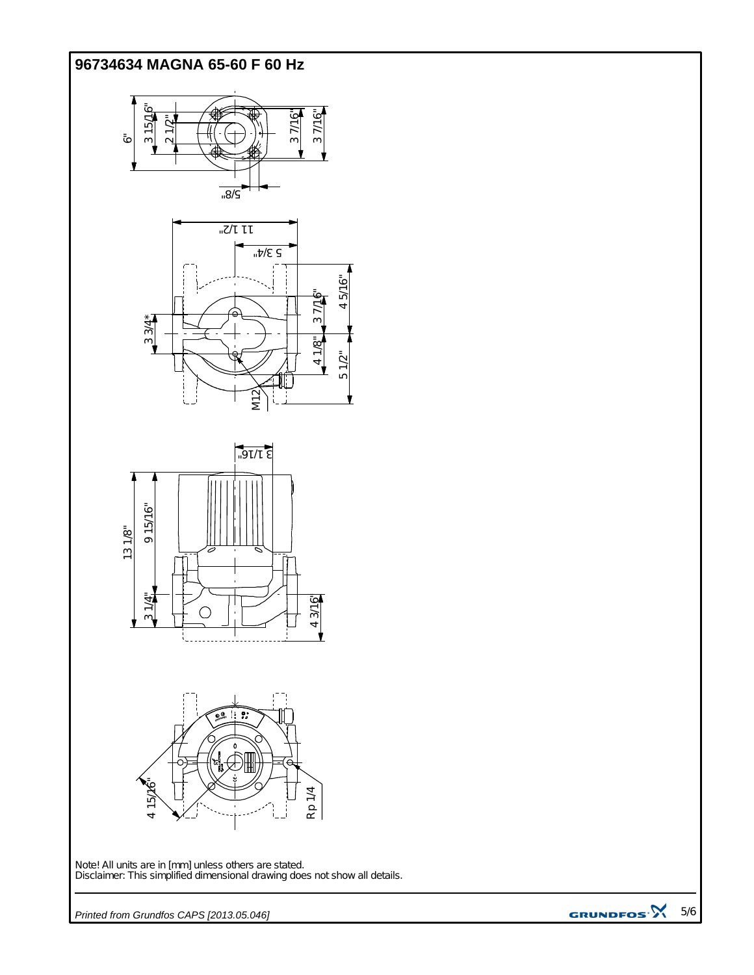#### **96734634 MAGNA 65-60 F 60 Hz**



Note! All units are in [mm] unless others are stated. Disclaimer: This simplified dimensional drawing does not show all details.

Rp 1/4

*Printed from Grundfos CAPS [2013.05.046]*

 $\overline{5}$